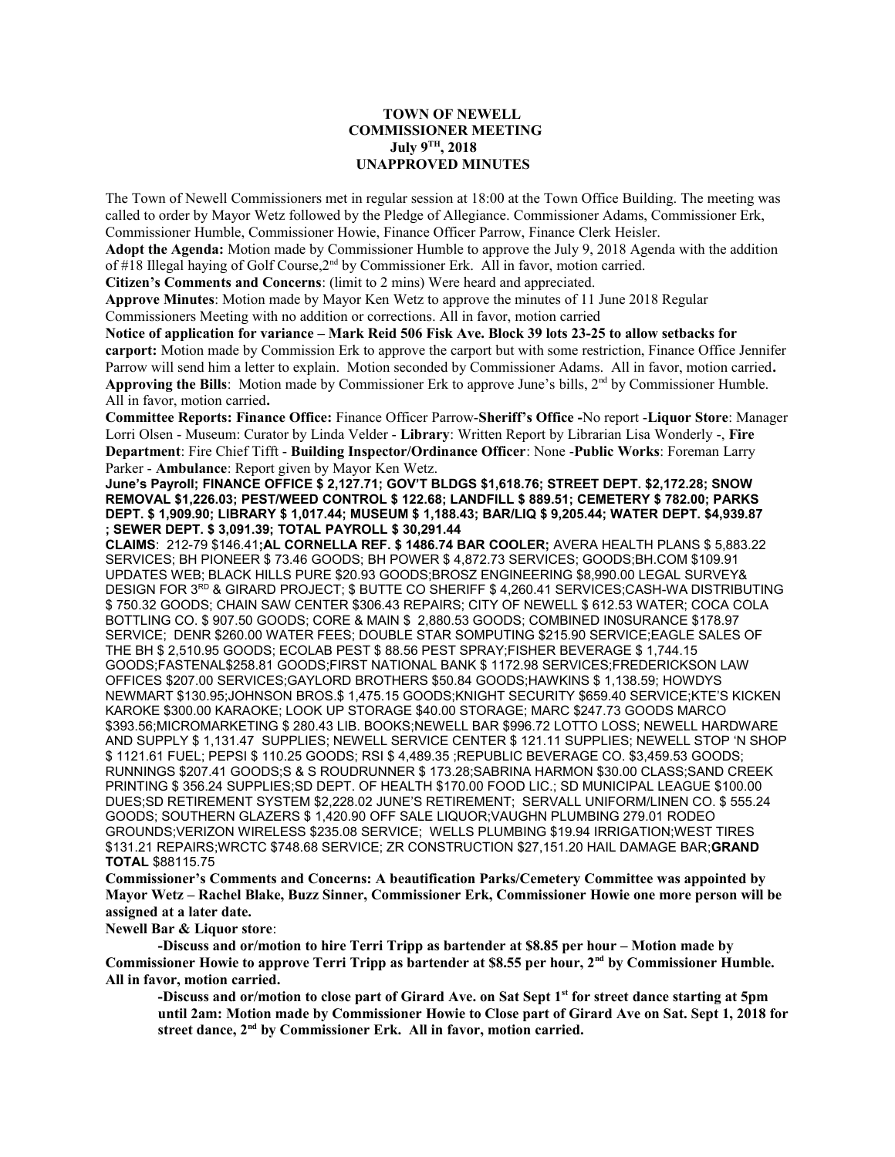## **TOWN OF NEWELL COMMISSIONER MEETING July 9TH, 2018 UNAPPROVED MINUTES**

The Town of Newell Commissioners met in regular session at 18:00 at the Town Office Building. The meeting was called to order by Mayor Wetz followed by the Pledge of Allegiance. Commissioner Adams, Commissioner Erk, Commissioner Humble, Commissioner Howie, Finance Officer Parrow, Finance Clerk Heisler.

**Adopt the Agenda:** Motion made by Commissioner Humble to approve the July 9, 2018 Agenda with the addition of #18 Illegal haying of Golf Course,2nd by Commissioner Erk. All in favor, motion carried.

**Citizen's Comments and Concerns**: (limit to 2 mins) Were heard and appreciated.

**Approve Minutes**: Motion made by Mayor Ken Wetz to approve the minutes of 11 June 2018 Regular Commissioners Meeting with no addition or corrections. All in favor, motion carried

**Notice of application for variance – Mark Reid 506 Fisk Ave. Block 39 lots 23-25 to allow setbacks for carport:** Motion made by Commission Erk to approve the carport but with some restriction, Finance Office Jennifer Parrow will send him a letter to explain. Motion seconded by Commissioner Adams. All in favor, motion carried**.** Approving the Bills: Motion made by Commissioner Erk to approve June's bills, 2<sup>nd</sup> by Commissioner Humble. All in favor, motion carried**.**

**Committee Reports: Finance Office:** Finance Officer Parrow-**Sheriff's Office -**No report -**Liquor Store**: Manager Lorri Olsen - Museum: Curator by Linda Velder - **Library**: Written Report by Librarian Lisa Wonderly -, **Fire Department**: Fire Chief Tifft - **Building Inspector/Ordinance Officer**: None -**Public Works**: Foreman Larry Parker - **Ambulance**: Report given by Mayor Ken Wetz.

**June's Payroll; FINANCE OFFICE \$ 2,127.71; GOV'T BLDGS \$1,618.76; STREET DEPT. \$2,172.28; SNOW REMOVAL \$1,226.03; PEST/WEED CONTROL \$ 122.68; LANDFILL \$ 889.51; CEMETERY \$ 782.00; PARKS DEPT. \$ 1,909.90; LIBRARY \$ 1,017.44; MUSEUM \$ 1,188.43; BAR/LIQ \$ 9,205.44; WATER DEPT. \$4,939.87 ; SEWER DEPT. \$ 3,091.39; TOTAL PAYROLL \$ 30,291.44**

**CLAIMS**: 212-79 \$146.41**;AL CORNELLA REF. \$ 1486.74 BAR COOLER;** AVERA HEALTH PLANS \$ 5,883.22 SERVICES; BH PIONEER \$ 73.46 GOODS; BH POWER \$ 4,872.73 SERVICES; GOODS;BH.COM \$109.91 UPDATES WEB; BLACK HILLS PURE \$20.93 GOODS;BROSZ ENGINEERING \$8,990.00 LEGAL SURVEY& DESIGN FOR 3RD & GIRARD PROJECT; \$ BUTTE CO SHERIFF \$ 4,260.41 SERVICES;CASH-WA DISTRIBUTING \$ 750.32 GOODS; CHAIN SAW CENTER \$306.43 REPAIRS; CITY OF NEWELL \$ 612.53 WATER; COCA COLA BOTTLING CO. \$ 907.50 GOODS; CORE & MAIN \$ 2,880.53 GOODS; COMBINED IN0SURANCE \$178.97 SERVICE; DENR \$260.00 WATER FEES; DOUBLE STAR SOMPUTING \$215.90 SERVICE;EAGLE SALES OF THE BH \$ 2,510.95 GOODS; ECOLAB PEST \$ 88.56 PEST SPRAY;FISHER BEVERAGE \$ 1,744.15 GOODS;FASTENAL\$258.81 GOODS;FIRST NATIONAL BANK \$ 1172.98 SERVICES;FREDERICKSON LAW OFFICES \$207.00 SERVICES;GAYLORD BROTHERS \$50.84 GOODS;HAWKINS \$ 1,138.59; HOWDYS NEWMART \$130.95;JOHNSON BROS.\$ 1,475.15 GOODS;KNIGHT SECURITY \$659.40 SERVICE;KTE'S KICKEN KAROKE \$300.00 KARAOKE; LOOK UP STORAGE \$40.00 STORAGE; MARC \$247.73 GOODS MARCO \$393.56;MICROMARKETING \$ 280.43 LIB. BOOKS;NEWELL BAR \$996.72 LOTTO LOSS; NEWELL HARDWARE AND SUPPLY \$ 1,131.47 SUPPLIES; NEWELL SERVICE CENTER \$ 121.11 SUPPLIES; NEWELL STOP 'N SHOP \$ 1121.61 FUEL; PEPSI \$ 110.25 GOODS; RSI \$ 4,489.35 ;REPUBLIC BEVERAGE CO. \$3,459.53 GOODS; RUNNINGS \$207.41 GOODS;S & S ROUDRUNNER \$ 173.28;SABRINA HARMON \$30.00 CLASS;SAND CREEK PRINTING \$ 356.24 SUPPLIES;SD DEPT. OF HEALTH \$170.00 FOOD LIC.; SD MUNICIPAL LEAGUE \$100.00 DUES;SD RETIREMENT SYSTEM \$2,228.02 JUNE'S RETIREMENT; SERVALL UNIFORM/LINEN CO. \$ 555.24 GOODS; SOUTHERN GLAZERS \$ 1,420.90 OFF SALE LIQUOR;VAUGHN PLUMBING 279.01 RODEO GROUNDS;VERIZON WIRELESS \$235.08 SERVICE; WELLS PLUMBING \$19.94 IRRIGATION;WEST TIRES \$131.21 REPAIRS;WRCTC \$748.68 SERVICE; ZR CONSTRUCTION \$27,151.20 HAIL DAMAGE BAR;**GRAND TOTAL** \$88115.75

**Commissioner's Comments and Concerns: A beautification Parks/Cemetery Committee was appointed by Mayor Wetz – Rachel Blake, Buzz Sinner, Commissioner Erk, Commissioner Howie one more person will be assigned at a later date.** 

**Newell Bar & Liquor store**:

**-Discuss and or/motion to hire Terri Tripp as bartender at \$8.85 per hour – Motion made by Commissioner Howie to approve Terri Tripp as bartender at \$8.55 per hour, 2nd by Commissioner Humble. All in favor, motion carried.**

**-Discuss and or/motion to close part of Girard Ave. on Sat Sept 1st for street dance starting at 5pm until 2am: Motion made by Commissioner Howie to Close part of Girard Ave on Sat. Sept 1, 2018 for street dance, 2nd by Commissioner Erk. All in favor, motion carried.**